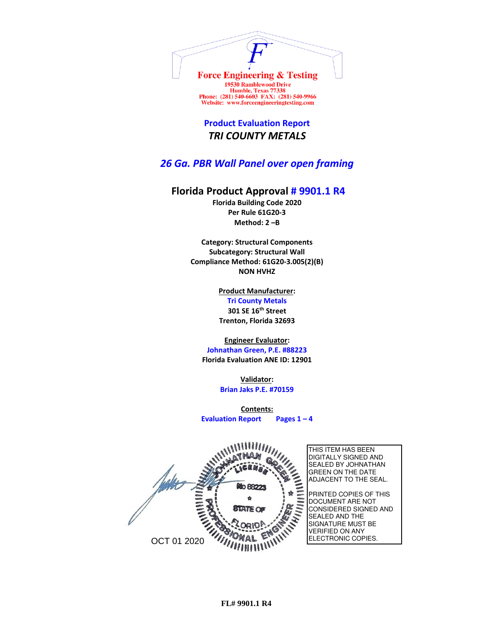

Humble, Texas 77338<br>Phone: (281) 540-6603 FAX: (281) 540-9966 Website: www.forceengineeringtesting.com

**Product Evaluation Report** *TRI COUNTY METALS*

*26 Ga. PBR Wall Panel over open framing*

## **Florida Product Approval # 9901.1 R4**

**Florida Building Code 2020 Per Rule 61G20-3 Method: 2 –B**

**Category: Structural Components Subcategory: Structural Wall Compliance Method: 61G20-3.005(2)(B) NON HVHZ**

> **Product Manufacturer: Tri County Metals 301 SE 16th Street Trenton, Florida 32693**

**Engineer Evaluator:**

**Johnathan Green, P.E. #88223 Florida Evaluation ANE ID: 12901**

> **Validator: Brian Jaks P.E. #70159**

**Contents: Evaluation Report Pages 1 – 4**

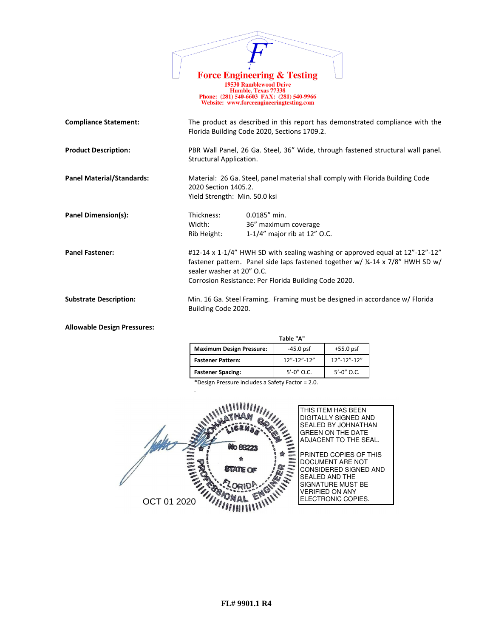|                                  |                                                       | <b>Force Engineering &amp; Testing</b>                                                                                                                                                                                  |
|----------------------------------|-------------------------------------------------------|-------------------------------------------------------------------------------------------------------------------------------------------------------------------------------------------------------------------------|
|                                  |                                                       | <b>19530 Ramblewood Drive</b><br>Humble, Texas 77338<br>Phone: (281) 540-6603 FAX: (281) 540-9966<br>Website: www.forceengineeringtesting.com                                                                           |
| <b>Compliance Statement:</b>     |                                                       | The product as described in this report has demonstrated compliance with the<br>Florida Building Code 2020, Sections 1709.2.                                                                                            |
| <b>Product Description:</b>      | Structural Application.                               | PBR Wall Panel, 26 Ga. Steel, 36" Wide, through fastened structural wall panel.                                                                                                                                         |
| <b>Panel Material/Standards:</b> | 2020 Section 1405.2.<br>Yield Strength: Min. 50.0 ksi | Material: 26 Ga. Steel, panel material shall comply with Florida Building Code                                                                                                                                          |
| Panel Dimension(s):              | Thickness:<br>Width:<br>Rib Height:                   | $0.0185''$ min.<br>36" maximum coverage<br>1-1/4" major rib at 12" O.C.                                                                                                                                                 |
| <b>Panel Fastener:</b>           | sealer washer at 20" O.C.                             | #12-14 x 1-1/4" HWH SD with sealing washing or approved equal at 12"-12"-12"<br>fastener pattern. Panel side laps fastened together w/ 1/4-14 x 7/8" HWH SD w/<br>Corrosion Resistance: Per Florida Building Code 2020. |
| <b>Substrate Description:</b>    | Building Code 2020.                                   | Min. 16 Ga. Steel Framing. Framing must be designed in accordance w/ Florida                                                                                                                                            |

## **Allowable Design Pressures:**

|                                 | Table "A"         |                   |
|---------------------------------|-------------------|-------------------|
| <b>Maximum Design Pressure:</b> | $-45.0$ psf       | $+55.0$ psf       |
| <b>Fastener Pattern:</b>        | $12" - 12" - 12"$ | $12" - 12" - 12"$ |
| <b>Fastener Spacing:</b>        | $5' - 0''$ O.C.   | $5' - 0''$ O.C.   |

\*Design Pressure includes a Safety Factor = 2.0.

.

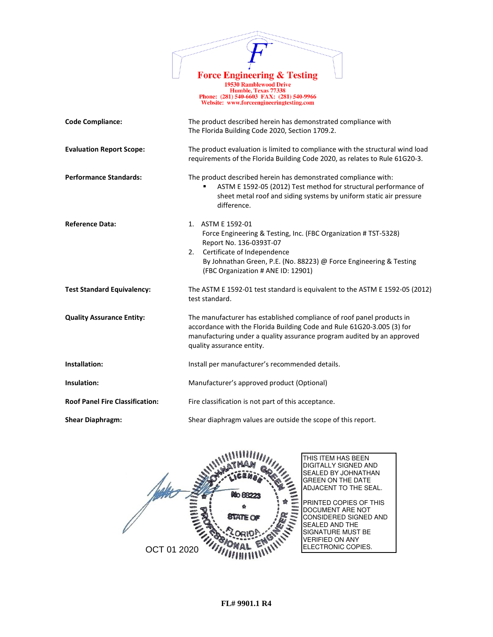

19730 Ramblewood Drive<br>
Humble, Texas 77338<br>
Phone: (281) 540-6603 FAX: (281) 540-9966<br>
Website: www.forceengineeringtesting.com

| <b>Code Compliance:</b>                | The product described herein has demonstrated compliance with<br>The Florida Building Code 2020, Section 1709.2.<br>The product evaluation is limited to compliance with the structural wind load<br>requirements of the Florida Building Code 2020, as relates to Rule 61G20-3. |  |  |
|----------------------------------------|----------------------------------------------------------------------------------------------------------------------------------------------------------------------------------------------------------------------------------------------------------------------------------|--|--|
| <b>Evaluation Report Scope:</b>        |                                                                                                                                                                                                                                                                                  |  |  |
| <b>Performance Standards:</b>          | The product described herein has demonstrated compliance with:<br>ASTM E 1592-05 (2012) Test method for structural performance of<br>sheet metal roof and siding systems by uniform static air pressure<br>difference.                                                           |  |  |
| <b>Reference Data:</b>                 | 1. ASTM E 1592-01<br>Force Engineering & Testing, Inc. (FBC Organization # TST-5328)<br>Report No. 136-0393T-07<br>Certificate of Independence<br>2.<br>By Johnathan Green, P.E. (No. 88223) @ Force Engineering & Testing<br>(FBC Organization # ANE ID: 12901)                 |  |  |
| <b>Test Standard Equivalency:</b>      | The ASTM E 1592-01 test standard is equivalent to the ASTM E 1592-05 (2012)<br>test standard.                                                                                                                                                                                    |  |  |
| <b>Quality Assurance Entity:</b>       | The manufacturer has established compliance of roof panel products in<br>accordance with the Florida Building Code and Rule 61G20-3.005 (3) for<br>manufacturing under a quality assurance program audited by an approved<br>quality assurance entity.                           |  |  |
| Installation:                          | Install per manufacturer's recommended details.                                                                                                                                                                                                                                  |  |  |
| Insulation:                            | Manufacturer's approved product (Optional)                                                                                                                                                                                                                                       |  |  |
| <b>Roof Panel Fire Classification:</b> | Fire classification is not part of this acceptance.                                                                                                                                                                                                                              |  |  |
| <b>Shear Diaphragm:</b>                | Shear diaphragm values are outside the scope of this report.                                                                                                                                                                                                                     |  |  |

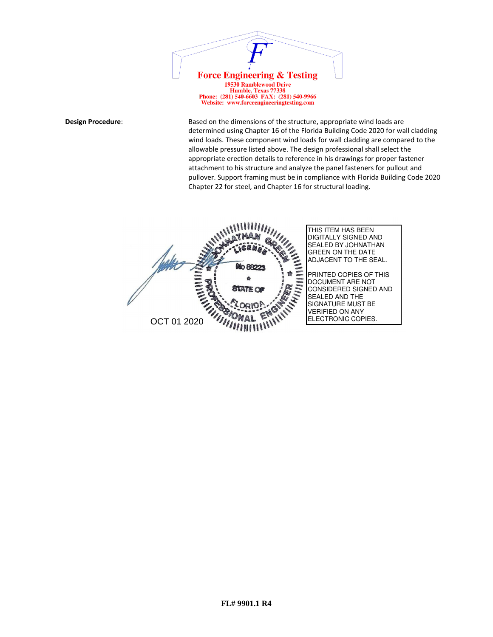

Humble, Texas 77338<br>Phone: (281) 540-6603 FAX: (281) 540-9966 Website: www.forceengineeringtesting.com

**Design Procedure:** Based on the dimensions of the structure, appropriate wind loads are determined using Chapter 16 of the Florida Building Code 2020 for wall cladding wind loads. These component wind loads for wall cladding are compared to the allowable pressure listed above. The design professional shall select the appropriate erection details to reference in his drawings for proper fastener attachment to his structure and analyze the panel fasteners for pullout and pullover. Support framing must be in compliance with Florida Building Code 2020 Chapter 22 for steel, and Chapter 16 for structural loading.